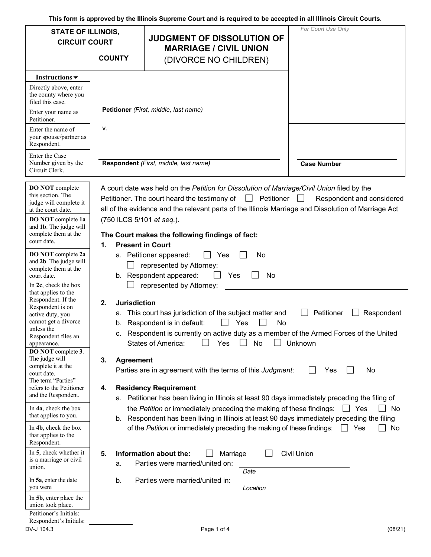**This form is approved by the Illinois Supreme Court and is required to be accepted in all Illinois Circuit Courts.** 

| <b>STATE OF ILLINOIS,</b><br><b>CIRCUIT COURT</b>                                                                                                                                                                                                                                                                                                                                                                                 |                                                                       | <b>JUDGMENT OF DISSOLUTION OF</b>                                                                                                                                                                                                                                                                                                                                                                                                                                                                                                                                                                                                                                                   | For Court Use Only                                                           |
|-----------------------------------------------------------------------------------------------------------------------------------------------------------------------------------------------------------------------------------------------------------------------------------------------------------------------------------------------------------------------------------------------------------------------------------|-----------------------------------------------------------------------|-------------------------------------------------------------------------------------------------------------------------------------------------------------------------------------------------------------------------------------------------------------------------------------------------------------------------------------------------------------------------------------------------------------------------------------------------------------------------------------------------------------------------------------------------------------------------------------------------------------------------------------------------------------------------------------|------------------------------------------------------------------------------|
|                                                                                                                                                                                                                                                                                                                                                                                                                                   | <b>COUNTY</b>                                                         | <b>MARRIAGE / CIVIL UNION</b><br>(DIVORCE NO CHILDREN)                                                                                                                                                                                                                                                                                                                                                                                                                                                                                                                                                                                                                              |                                                                              |
|                                                                                                                                                                                                                                                                                                                                                                                                                                   |                                                                       |                                                                                                                                                                                                                                                                                                                                                                                                                                                                                                                                                                                                                                                                                     |                                                                              |
| Instructions $\blacktriangledown$<br>Directly above, enter<br>the county where you<br>filed this case.                                                                                                                                                                                                                                                                                                                            |                                                                       |                                                                                                                                                                                                                                                                                                                                                                                                                                                                                                                                                                                                                                                                                     |                                                                              |
| Enter your name as<br>Petitioner.                                                                                                                                                                                                                                                                                                                                                                                                 |                                                                       | Petitioner (First, middle, last name)                                                                                                                                                                                                                                                                                                                                                                                                                                                                                                                                                                                                                                               |                                                                              |
| Enter the name of<br>your spouse/partner as<br>Respondent.                                                                                                                                                                                                                                                                                                                                                                        | ν.                                                                    |                                                                                                                                                                                                                                                                                                                                                                                                                                                                                                                                                                                                                                                                                     |                                                                              |
| Enter the Case<br>Number given by the<br>Circuit Clerk.                                                                                                                                                                                                                                                                                                                                                                           |                                                                       | Respondent (First, middle, last name)                                                                                                                                                                                                                                                                                                                                                                                                                                                                                                                                                                                                                                               | <b>Case Number</b>                                                           |
| <b>DO NOT</b> complete<br>this section. The<br>judge will complete it<br>at the court date.<br>DO NOT complete 1a<br>and 1b. The judge will<br>complete them at the<br>court date.<br>DO NOT complete 2a<br>and 2b. The judge will                                                                                                                                                                                                | (750 ILCS 5/101 et seq.).<br><b>Present in Court</b><br>1.            | A court date was held on the Petition for Dissolution of Marriage/Civil Union filed by the<br>Petitioner. The court heard the testimony of $\Box$ Petitioner<br>all of the evidence and the relevant parts of the Illinois Marriage and Dissolution of Marriage Act<br>The Court makes the following findings of fact:<br>a. Petitioner appeared:<br>Yes<br>No                                                                                                                                                                                                                                                                                                                      | Respondent and considered<br>$\perp$                                         |
| complete them at the<br>court date.<br>In $2c$ , check the box                                                                                                                                                                                                                                                                                                                                                                    |                                                                       | represented by Attorney:<br>b. Respondent appeared:<br>Yes<br>No<br>represented by Attorney:                                                                                                                                                                                                                                                                                                                                                                                                                                                                                                                                                                                        |                                                                              |
| that applies to the<br>Respondent. If the<br>Respondent is on<br>active duty, you<br>cannot get a divorce<br>unless the<br>Respondent files an<br>appearance.<br>DO NOT complete 3.<br>The judge will<br>complete it at the<br>court date.<br>The term "Parties"<br>refers to the Petitioner<br>and the Respondent.<br>In 4a, check the box<br>that applies to you.<br>In 4b, check the box<br>that applies to the<br>Respondent. | <b>Jurisdiction</b><br>2.<br>а.<br>b.<br>3.<br><b>Agreement</b><br>4. | This court has jurisdiction of the subject matter and<br>Respondent is in default:<br>Yes<br>No<br>c. Respondent is currently on active duty as a member of the Armed Forces of the United<br>No<br><b>States of America:</b><br>Yes<br>Parties are in agreement with the terms of this Judgment:<br><b>Residency Requirement</b><br>a. Petitioner has been living in Illinois at least 90 days immediately preceding the filing of<br>the Petition or immediately preceding the making of these findings:<br>b. Respondent has been living in Illinois at least 90 days immediately preceding the filing<br>of the Petition or immediately preceding the making of these findings: | Petitioner<br>Respondent<br>Unknown<br>No<br>Yes<br>Yes<br>No<br>□ Yes<br>No |
| In 5, check whether it<br>is a marriage or civil<br>union.<br>In 5a, enter the date<br>you were<br>In 5b, enter place the<br>union took place.<br>Petitioner's Initials:<br>Respondent's Initials:                                                                                                                                                                                                                                | 5.<br>a.<br>b.                                                        | Information about the:<br>Marriage<br>Parties were married/united on:<br>Date<br>Parties were married/united in:<br>Location                                                                                                                                                                                                                                                                                                                                                                                                                                                                                                                                                        | <b>Civil Union</b>                                                           |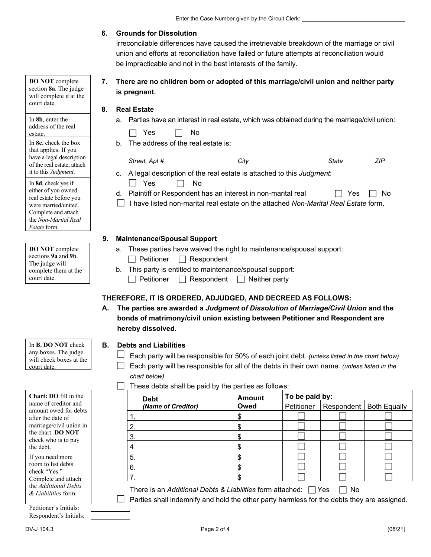## **6. Grounds for Dissolution**

 Irreconcilable differences have caused the irretrievable breakdown of the marriage or civil union and efforts at reconciliation have failed or future attempts at reconciliation would be impracticable and not in the best interests of the family.

 **7. There are no children born or adopted of this marriage/civil union and neither party is pregnant.** 

### **8. Real Estate**

a. Parties have an interest in real estate, which was obtained during the marriage/civil union:

b. The address of the real estate is:

| Street, Apt # | City                                                                                                                                                  | State | <b>ZIP</b> |
|---------------|-------------------------------------------------------------------------------------------------------------------------------------------------------|-------|------------|
| Yes           | c. A legal description of the real estate is attached to this <i>Judgment</i> :<br>No.                                                                |       |            |
|               | d. Plaintiff or Respondent has an interest in non-marital real<br>I have listed non-marital real estate on the attached Non-Marital Real Estate form. | Yes   | No         |

### **9. Maintenance/Spousal Support**

a. These parties have waived the right to maintenance/spousal support:



 $\text{complete them at the }$  | b. This party is entitled to maintenance/spousal support:

court date.  $\Box$  Petitioner  $\Box$  Respondent  $\Box$  Neither party

# **THEREFORE, IT IS ORDERED, ADJUDGED, AND DECREED AS FOLLOWS:**

 **A. The parties are awarded a** *Judgment of Dissolution of Marriage/Civil Union* **and the bonds of matrimony/civil union existing between Petitioner and Respondent are hereby dissolved.** 

### In **B**, **DO NOT** check **B. Debts and Liabilities**

- any boxes. The judge  $\Box$  Each party will be responsible for 50% of each joint debt. *(unless listed in the chart below)* will check boxes at the  $\Box$
- court date. **Each party will be responsible for all of the debts in their own name.** *(unless listed in the*  $\Box$  Each party will be responsible for all of the debts in their own name. *(unless listed in the chart below)*

### $\Box$  These debts shall be paid by the parties as follows:

|     | <b>Debt</b>        | <b>Amount</b><br>Owed | To be paid by: |                           |  |  |
|-----|--------------------|-----------------------|----------------|---------------------------|--|--|
|     | (Name of Creditor) |                       | Petitioner     | Respondent   Both Equally |  |  |
| . . |                    |                       |                |                           |  |  |
| 2.  |                    |                       |                |                           |  |  |
| 3.  |                    |                       |                |                           |  |  |
| 4.  |                    |                       |                |                           |  |  |
| 5.  |                    |                       |                |                           |  |  |
| 6.  |                    |                       |                |                           |  |  |
|     |                    |                       |                |                           |  |  |

There is an *Additional Debts & Liabilities* form attached:  $\Box$  Yes  $\Box$  No

 $\Box$  Parties shall indemnify and hold the other party harmless for the debts they are assigned.

 will complete it at the **DO NOT** complete section **8a**. The judge court date.

 address of the real In **8b**, enter the estate.

 of the real estate, attach it to this *Judgment*. In **8c**, check the box that applies. If you have a legal description

 Complete and attach In **8d**, check yes if either of you owned real estate before you were married/united. the *Non-Marital Real Estate* form.

| <b>DO NOT</b> complete |
|------------------------|
| sections 9a and 9b.    |
| The judge will         |
| complete them at the   |
| court date.            |

any boxes. The judge

| <b>Chart: DO fill in the</b>           |
|----------------------------------------|
| name of creditor and                   |
| amount owed for debts                  |
| after the date of                      |
| marriage/civil union in                |
| the chart. DO NOT                      |
| check who is to pay                    |
| the debt.                              |
| If you need more<br>room to list debts |

 *& Liabilities* form. room to list debts check "Yes." Complete and attach the *Additional Debts* 

Petitioner's Initials: Respondent's Initials: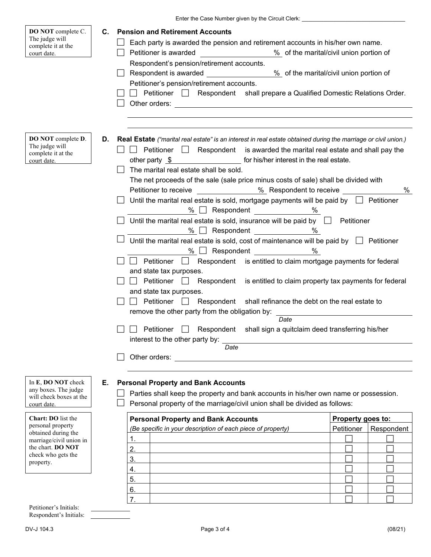|                                                                                      |    | Enter the Case Number given by the Circuit Clerk: ______________________________                                                                                                                                                                                                                                                                                                                                                                                                                                                                                                                                                                                                                                                                                                                                                                                                                                                                                                                                                                                                                                                                                                                                                                                                                                                                 |                   |            |
|--------------------------------------------------------------------------------------|----|--------------------------------------------------------------------------------------------------------------------------------------------------------------------------------------------------------------------------------------------------------------------------------------------------------------------------------------------------------------------------------------------------------------------------------------------------------------------------------------------------------------------------------------------------------------------------------------------------------------------------------------------------------------------------------------------------------------------------------------------------------------------------------------------------------------------------------------------------------------------------------------------------------------------------------------------------------------------------------------------------------------------------------------------------------------------------------------------------------------------------------------------------------------------------------------------------------------------------------------------------------------------------------------------------------------------------------------------------|-------------------|------------|
| DO NOT complete C.<br>The judge will<br>complete it at the<br>court date.            | C. | <b>Pension and Retirement Accounts</b><br>Each party is awarded the pension and retirement accounts in his/her own name.<br>Petitioner is awarded<br>% of the marital/civil union portion of<br>Respondent's pension/retirement accounts.<br>Respondent is awarded ___________________% of the marital/civil union portion of<br>Petitioner's pension/retirement accounts.<br>$\Box$ Petitioner $\Box$ Respondent shall prepare a Qualified Domestic Relations Order.                                                                                                                                                                                                                                                                                                                                                                                                                                                                                                                                                                                                                                                                                                                                                                                                                                                                            |                   |            |
| DO NOT complete D.<br>The judge will<br>complete it at the<br>court date.            | D. | Real Estate ("marital real estate" is an interest in real estate obtained during the marriage or civil union.)<br><b>Example 1</b> Respondent is awarded the marital real estate and shall pay the<br>other party $\quad$ $\bullet$ for his/her interest in the real estate.<br>The marital real estate shall be sold.<br>The net proceeds of the sale (sale price minus costs of sale) shall be divided with<br>Petitioner to receive ______________ % Respondent to receive _____________<br>Until the marital real estate is sold, mortgage payments will be paid by $\Box$ Petitioner<br>$\%$ $\Box$ Respondent $\Box$<br>%<br>Until the marital real estate is sold, insurance will be paid by $\Box$ Petitioner<br>% Respondent ______________%<br>Until the marital real estate is sold, cost of maintenance will be paid by $\Box$ Petitioner<br>% $\Box$ Respondent $\_\_\_\_\_\_\_\_\_\_\_\_\_\_\_\_\_\_\_$<br>%<br>Respondent is entitled to claim mortgage payments for federal<br>Petitioner  <br>and state tax purposes.<br>Petitioner $\Box$<br>Respondent is entitled to claim property tax payments for federal<br>$\Box$<br>and state tax purposes.<br>Petitioner $\Box$<br>Respondent shall refinance the debt on the real estate to<br>$\blacksquare$<br>remove the other party from the obligation by:<br>$\overline{Date}$ |                   | $\%$       |
|                                                                                      |    | $\Box$ Petitioner $\Box$ Respondent shall sign a quitclaim deed transferring his/her<br>interest to the other party by:<br>Date                                                                                                                                                                                                                                                                                                                                                                                                                                                                                                                                                                                                                                                                                                                                                                                                                                                                                                                                                                                                                                                                                                                                                                                                                  |                   |            |
|                                                                                      |    | Other orders:                                                                                                                                                                                                                                                                                                                                                                                                                                                                                                                                                                                                                                                                                                                                                                                                                                                                                                                                                                                                                                                                                                                                                                                                                                                                                                                                    |                   |            |
| In E, DO NOT check<br>any boxes. The judge<br>will check boxes at the<br>court date. | Е. | <b>Personal Property and Bank Accounts</b><br>Parties shall keep the property and bank accounts in his/her own name or possession.<br>Personal property of the marriage/civil union shall be divided as follows:                                                                                                                                                                                                                                                                                                                                                                                                                                                                                                                                                                                                                                                                                                                                                                                                                                                                                                                                                                                                                                                                                                                                 |                   |            |
| Chart: DO list the                                                                   |    | <b>Personal Property and Bank Accounts</b>                                                                                                                                                                                                                                                                                                                                                                                                                                                                                                                                                                                                                                                                                                                                                                                                                                                                                                                                                                                                                                                                                                                                                                                                                                                                                                       | Property goes to: |            |
| personal property<br>obtained during the                                             |    | (Be specific in your description of each piece of property)                                                                                                                                                                                                                                                                                                                                                                                                                                                                                                                                                                                                                                                                                                                                                                                                                                                                                                                                                                                                                                                                                                                                                                                                                                                                                      | Petitioner        | Respondent |
| marriage/civil union in                                                              |    | 1.                                                                                                                                                                                                                                                                                                                                                                                                                                                                                                                                                                                                                                                                                                                                                                                                                                                                                                                                                                                                                                                                                                                                                                                                                                                                                                                                               |                   |            |
| the chart. DO NOT<br>check who gets the                                              |    | 2.                                                                                                                                                                                                                                                                                                                                                                                                                                                                                                                                                                                                                                                                                                                                                                                                                                                                                                                                                                                                                                                                                                                                                                                                                                                                                                                                               |                   |            |
| property.                                                                            |    | 3.                                                                                                                                                                                                                                                                                                                                                                                                                                                                                                                                                                                                                                                                                                                                                                                                                                                                                                                                                                                                                                                                                                                                                                                                                                                                                                                                               |                   |            |
|                                                                                      |    | 4.<br>5.                                                                                                                                                                                                                                                                                                                                                                                                                                                                                                                                                                                                                                                                                                                                                                                                                                                                                                                                                                                                                                                                                                                                                                                                                                                                                                                                         |                   |            |
|                                                                                      |    | 6.                                                                                                                                                                                                                                                                                                                                                                                                                                                                                                                                                                                                                                                                                                                                                                                                                                                                                                                                                                                                                                                                                                                                                                                                                                                                                                                                               |                   |            |
|                                                                                      |    | $\overline{7}$ .                                                                                                                                                                                                                                                                                                                                                                                                                                                                                                                                                                                                                                                                                                                                                                                                                                                                                                                                                                                                                                                                                                                                                                                                                                                                                                                                 |                   |            |
| Detitioner's Initials                                                                |    |                                                                                                                                                                                                                                                                                                                                                                                                                                                                                                                                                                                                                                                                                                                                                                                                                                                                                                                                                                                                                                                                                                                                                                                                                                                                                                                                                  |                   |            |

Petitioner's Initials: Respondent's Initials:

<u> Tanzania (h. 1878).</u>